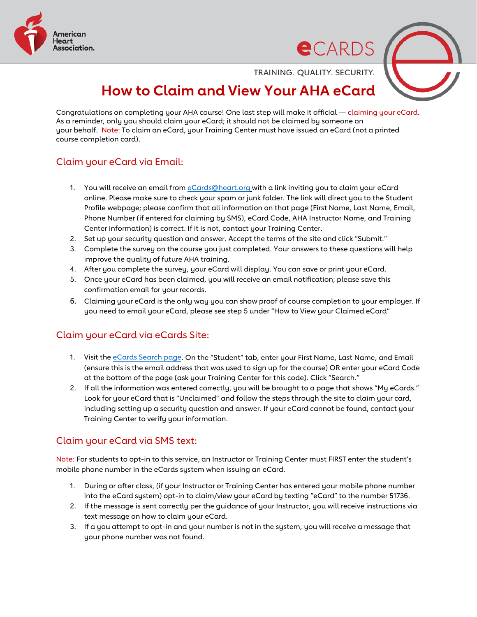

**e**CARDS

TRAINING. QUALITY. SECURITY.

# **How to Claim and View Your AHA eCard**

Congratulations on completing your AHA course! One last step will make it official — claiming your eCard. As a reminder, only you should claim your eCard; it should not be claimed by someone on your behalf. Note: To claim an eCard, your Training Center must have issued an eCard (not a printed course completion card).

## Claim your eCard via Email:

- 1. You will receive an email fro[m eCards@heart.org](mailto:eCards@heart.org) with a link inviting you to claim your eCard online. Please make sure to check your spam or junk folder. The link will direct you to the Student Profile webpage; please confirm that all information on that page (First Name, Last Name, Email, Phone Number (if entered for claiming by SMS), eCard Code, AHA Instructor Name, and Training Center information) is correct. If it is not, contact your Training Center.
- 2. Set up your security question and answer. Accept the terms of the site and click "Submit."
- 3. Complete the survey on the course you just completed. Your answers to these questions will help improve the quality of future AHA training.
- 4. After you complete the survey, your eCard will display. You can save or print your eCard.
- 5. Once your eCard has been claimed, you will receive an email notification; please save this confirmation email for your records.
- 6. Claiming your eCard is the only way you can show proof of course completion to your employer. If you need to email your eCard, please see step 5 under "How to View your Claimed eCard"

### Claim your eCard via eCards Site:

- 1. Visit the [eCards Search page.](https://ecards.heart.org/student/myecards) On the "Student" tab, enter your First Name, Last Name, and Email (ensure this is the email address that was used to sign up for the course) OR enter your eCard Code at the bottom of the page (ask your Training Center for this code). Click "Search."
- 2. If all the information was entered correctly, you will be brought to a page that shows "My eCards." Look for your eCard that is "Unclaimed" and follow the steps through the site to claim your card, including setting up a security question and answer. If your eCard cannot be found, contact your Training Center to verify your information.

#### Claim your eCard via SMS text:

Note: For students to opt-in to this service, an Instructor or Training Center must FIRST enter the student's mobile phone number in the eCards system when issuing an eCard.

- 1. During or after class, (if your Instructor or Training Center has entered your mobile phone number into the eCard system) opt-in to claim/view your eCard by texting "eCard" to the number 51736.
- 2. If the message is sent correctly per the guidance of your Instructor, you will receive instructions via text message on how to claim your eCard.
- 3. If a you attempt to opt-in and your number is not in the system, you will receive a message that your phone number was not found.